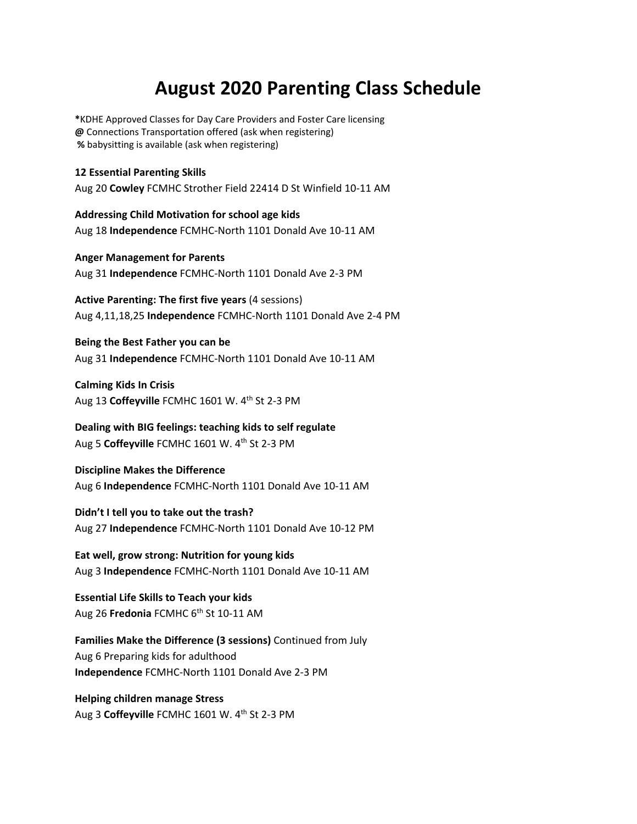## **August 2020 Parenting Class Schedule**

**\***KDHE Approved Classes for Day Care Providers and Foster Care licensing **@** Connections Transportation offered (ask when registering)  **%** babysitting is available (ask when registering)

**12 Essential Parenting Skills** Aug 20 **Cowley** FCMHC Strother Field 22414 D St Winfield 10-11 AM

**Addressing Child Motivation for school age kids**  Aug 18 **Independence** FCMHC-North 1101 Donald Ave 10-11 AM

**Anger Management for Parents**  Aug 31 **Independence** FCMHC-North 1101 Donald Ave 2-3 PM

**Active Parenting: The first five years** (4 sessions) Aug 4,11,18,25 **Independence** FCMHC-North 1101 Donald Ave 2-4 PM

**Being the Best Father you can be**  Aug 31 **Independence** FCMHC-North 1101 Donald Ave 10-11 AM

**Calming Kids In Crisis**  Aug 13 **Coffeyville** FCMHC 1601 W. 4th St 2-3 PM

**Dealing with BIG feelings: teaching kids to self regulate** Aug 5 **Coffeyville** FCMHC 1601 W. 4th St 2-3 PM

**Discipline Makes the Difference**  Aug 6 **Independence** FCMHC-North 1101 Donald Ave 10-11 AM

**Didn't I tell you to take out the trash?** Aug 27 **Independence** FCMHC-North 1101 Donald Ave 10-12 PM

**Eat well, grow strong: Nutrition for young kids**  Aug 3 **Independence** FCMHC-North 1101 Donald Ave 10-11 AM

**Essential Life Skills to Teach your kids** Aug 26 **Fredonia** FCMHC 6<sup>th</sup> St 10-11 AM

**Families Make the Difference (3 sessions)** Continued from July Aug 6 Preparing kids for adulthood **Independence** FCMHC-North 1101 Donald Ave 2-3 PM

**Helping children manage Stress** Aug 3 Coffeyville FCMHC 1601 W. 4<sup>th</sup> St 2-3 PM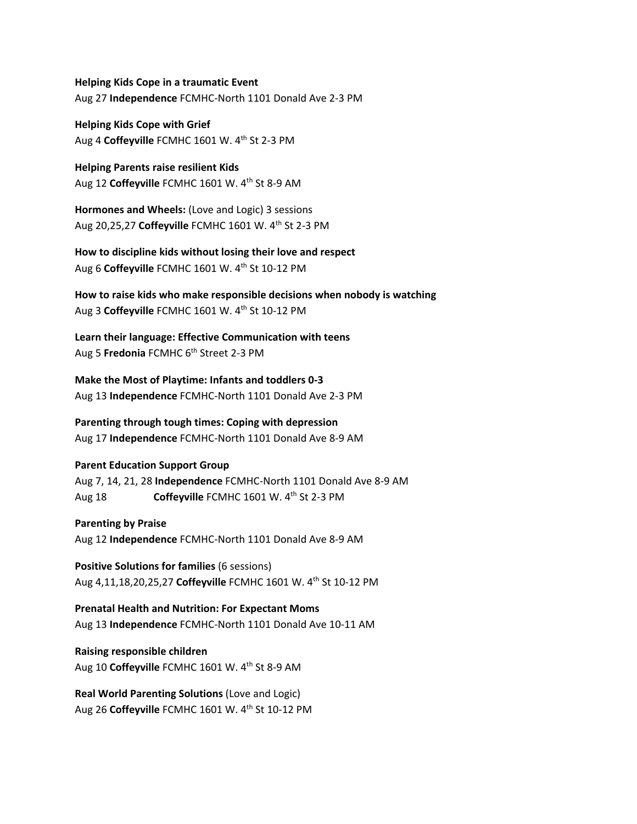**Helping Kids Cope in a traumatic Event**  Aug 27 **Independence** FCMHC-North 1101 Donald Ave 2-3 PM

**Helping Kids Cope with Grief** Aug 4 Coffeyville FCMHC 1601 W. 4<sup>th</sup> St 2-3 PM

**Helping Parents raise resilient Kids** Aug 12 Coffeyville FCMHC 1601 W. 4<sup>th</sup> St 8-9 AM

**Hormones and Wheels:** (Love and Logic) 3 sessions Aug 20,25,27 **Coffeyville** FCMHC 1601 W. 4<sup>th</sup> St 2-3 PM

**How to discipline kids without losing their love and respect** Aug 6 **Coffeyville** FCMHC 1601 W. 4th St 10-12 PM

**How to raise kids who make responsible decisions when nobody is watching** Aug 3 **Coffeyville** FCMHC 1601 W. 4th St 10-12 PM

**Learn their language: Effective Communication with teens** Aug 5 **Fredonia** FCMHC 6<sup>th</sup> Street 2-3 PM

**Make the Most of Playtime: Infants and toddlers 0-3** Aug 13 **Independence** FCMHC-North 1101 Donald Ave 2-3 PM

**Parenting through tough times: Coping with depression**  Aug 17 **Independence** FCMHC-North 1101 Donald Ave 8-9 AM

## **Parent Education Support Group**

Aug 7, 14, 21, 28 **Independence** FCMHC-North 1101 Donald Ave 8-9 AM Aug 18 **Coffeyville** FCMHC 1601 W. 4th St 2-3 PM

## **Parenting by Praise**

Aug 12 **Independence** FCMHC-North 1101 Donald Ave 8-9 AM

**Positive Solutions for families** (6 sessions) Aug 4,11,18,20,25,27 **Coffeyville** FCMHC 1601 W. 4th St 10-12 PM

**Prenatal Health and Nutrition: For Expectant Moms**  Aug 13 **Independence** FCMHC-North 1101 Donald Ave 10-11 AM

**Raising responsible children** Aug 10 **Coffeyville** FCMHC 1601 W. 4th St 8-9 AM

**Real World Parenting Solutions** (Love and Logic) Aug 26 **Coffeyville** FCMHC 1601 W. 4th St 10-12 PM